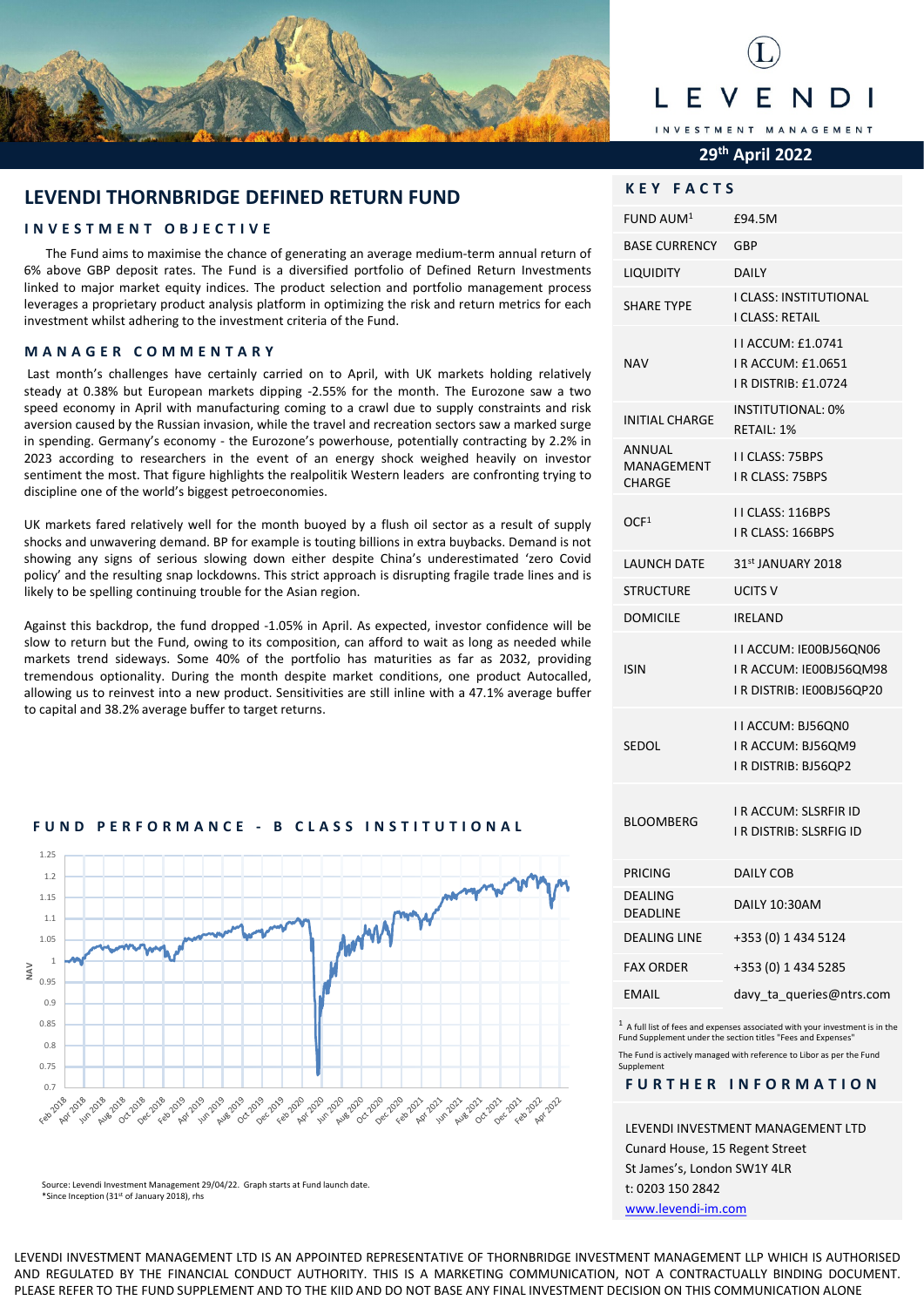

## F INVESTMENT MANAGEMENT

#### **29th April 2022**

**KEY FACTS** 

| KEY FAL<br>נו                         |                                                                                |
|---------------------------------------|--------------------------------------------------------------------------------|
| FUND AUM <sup>1</sup>                 | £94.5M                                                                         |
| <b>BASE CURRENCY</b>                  | GBP                                                                            |
| <b>LIQUIDITY</b>                      | DAILY                                                                          |
| <b>SHARE TYPE</b>                     | I CLASS: INSTITUTIONAL<br>I CLASS: RETAIL                                      |
| <b>NAV</b>                            | I I ACCUM: £1.0741<br>I R ACCUM: £1.0651<br>I R DISTRIB: £1.0724               |
| <b>INITIAL CHARGE</b>                 | <b>INSTITUTIONAL: 0%</b><br>RETAIL: 1%                                         |
| ANNUAL<br>MANAGEMENT<br><b>CHARGE</b> | <b>II CLASS: 75BPS</b><br><b>I R CLASS: 75BPS</b>                              |
| OCF <sup>1</sup>                      | II CLASS: 116BPS<br>IR CLASS: 166BPS                                           |
| <b>LAUNCH DATE</b>                    | 31st JANUARY 2018                                                              |
| <b>STRUCTURE</b>                      | UCITS V                                                                        |
| <b>DOMICILE</b>                       | <b>IRELAND</b>                                                                 |
| ISIN                                  | I I ACCUM: IE00BJ56QN06<br>IR ACCUM: IE00BJ56QM98<br>I R DISTRIB: IE00BJ56QP20 |
| SEDOL                                 | I I ACCUM: BJ56QN0<br>I R ACCUM: BJ56QM9<br>I R DISTRIB: BJ56QP2               |
| <b>BLOOMBERG</b>                      | <b>I R ACCUM: SLSRFIR ID</b><br>I R DISTRIB: SLSRFIG ID                        |
| <b>PRICING</b>                        | <b>DAILY COB</b>                                                               |
| <b>DEALING</b><br><b>DEADLINE</b>     | DAILY 10:30AM                                                                  |
| <b>DEALING LINE</b>                   | +353 (0) 1 434 5124                                                            |
| <b>FAX ORDER</b>                      | +353 (0) 1 434 5285                                                            |
| <b>EMAIL</b>                          | davy ta queries@ntrs.com                                                       |

 $1$  A full list of fees and expenses associated with your investment is in the Fund Supplement under the section titles "Fees and Expenses" The Fund is actively managed with reference to Libor as per the Fund Supplement

#### **FURTHER INFORMATION**

LEVENDI INVESTMENT MANAGEMENT LTD Cunard House, 15 Regent Street St James's, London SW1Y 4LR t: 0203 150 2842

[www.levendi-im.com](http://www.levendi-im.com/)

#### **LEVENDI THORNBRIDGE DEFINED RETURN FUND**

#### **INVESTMENT OBJECTIVE**

The Fund aims to maximise the chance of generating an average medium-term annual return of 6% above GBP deposit rates. The Fund is a diversified portfolio of Defined Return Investments linked to major market equity indices. The product selection and portfolio management process leverages a proprietary product analysis platform in optimizing the risk and return metrics for each investment whilst adhering to the investment criteria of the Fund.

#### **MANAGER COMMENTARY**

Last month's challenges have certainly carried on to April, with UK markets holding relatively steady at 0.38% but European markets dipping -2.55% for the month. The Eurozone saw a two speed economy in April with manufacturing coming to a crawl due to supply constraints and risk aversion caused by the Russian invasion, while the travel and recreation sectors saw a marked surge in spending. Germany's economy - the Eurozone's powerhouse, potentially contracting by 2.2% in 2023 according to researchers in the event of an energy shock weighed heavily on investor sentiment the most. That figure highlights the realpolitik Western leaders are confronting trying to discipline one of the world's biggest petroeconomies.

UK markets fared relatively well for the month buoyed by a flush oil sector as a result of supply shocks and unwavering demand. BP for example is touting billions in extra buybacks. Demand is not showing any signs of serious slowing down either despite China's underestimated 'zero Covid policy' and the resulting snap lockdowns. This strict approach is disrupting fragile trade lines and is likely to be spelling continuing trouble for the Asian region.

Against this backdrop, the fund dropped -1.05% in April. As expected, investor confidence will be slow to return but the Fund, owing to its composition, can afford to wait as long as needed while markets trend sideways. Some 40% of the portfolio has maturities as far as 2032, providing tremendous optionality. During the month despite market conditions, one product Autocalled, allowing us to reinvest into a new product. Sensitivities are still inline with a 47.1% average buffer to capital and 38.2% average buffer to target returns.

#### **FUND PERFORMANCE - B CLASS INSTITUTIONAL**



Source: Levendi Investment Management 29/04/22. Graph starts at Fund launch date. \*Since Inception (31st of January 2018), rhs

LEVENDI INVESTMENT MANAGEMENT LTD IS AN APPOINTED REPRESENTATIVE OF THORNBRIDGE INVESTMENT MANAGEMENT LLP WHICH IS AUTHORISED AND REGULATED BY THE FINANCIAL CONDUCT AUTHORITY. THIS IS A MARKETING COMMUNICATION, NOT A CONTRACTUALLY BINDING DOCUMENT. PLEASE REFER TO THE FUND SUPPLEMENT AND TO THE KIID AND DO NOT BASE ANY FINAL INVESTMENT DECISION ON THIS COMMUNICATION ALONE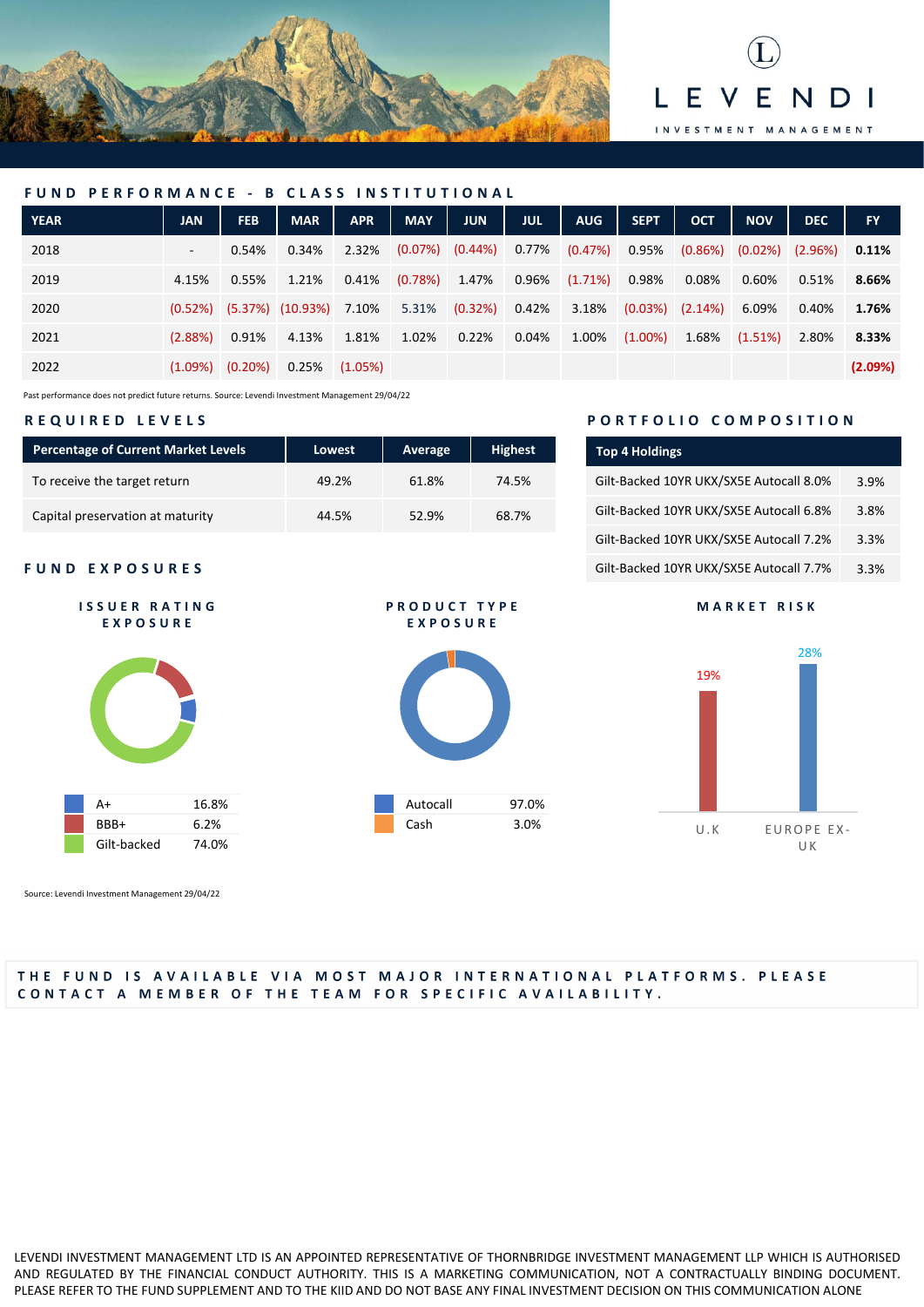



| FUND PERFORMANCE - B CLASS INSTITUTIONAL |            |                     |                                         |            |            |                       |            |            |             |                     |            |            |           |
|------------------------------------------|------------|---------------------|-----------------------------------------|------------|------------|-----------------------|------------|------------|-------------|---------------------|------------|------------|-----------|
| <b>YEAR</b>                              | <b>JAN</b> | <b>FEB</b>          | <b>MAR</b>                              | <b>APR</b> | <b>MAY</b> | <b>JUN</b>            | <b>JUL</b> | <b>AUG</b> | <b>SEPT</b> | <b>OCT</b>          | <b>NOV</b> | <b>DEC</b> | <b>FY</b> |
| 2018                                     | $\sim$     | 0.54%               | 0.34%                                   | 2.32%      |            | $(0.07\%)$ $(0.44\%)$ | 0.77%      | (0.47%)    | 0.95%       | (0.86%)             | $(0.02\%)$ | $(2.96\%)$ | $0.11\%$  |
| 2019                                     | 4.15%      | 0.55%               | 1.21%                                   | $0.41\%$   | (0.78%)    | 1.47%                 | 0.96%      | $(1.71\%)$ | 0.98%       | 0.08%               | 0.60%      | 0.51%      | 8.66%     |
| 2020                                     |            |                     | $(0.52\%)$ $(5.37\%)$ $(10.93\%)$ 7.10% |            | 5.31%      | (0.32%)               | 0.42%      | 3.18%      |             | $(0.03%)$ $(2.14%)$ | 6.09%      | 0.40%      | 1.76%     |
| 2021                                     | $(2.88\%)$ | 0.91%               | 4.13%                                   | 1.81%      | 1.02%      | 0.22%                 | 0.04%      | 1.00%      | $(1.00\%)$  | 1.68%               | (1.51%)    | 2.80%      | 8.33%     |
| 2022                                     |            | $(1.09%)$ $(0.20%)$ | 0.25%                                   | (1.05%)    |            |                       |            |            |             |                     |            |            | (2.09%)   |

Past performance does not predict future returns. Source: Levendi Investment Management 29/04/22

#### **REQUIRED LEVELS**

| <b>Percentage of Current Market Levels</b> | Lowest | Average | <b>Highest</b> |
|--------------------------------------------|--------|---------|----------------|
| To receive the target return               | 49.2%  | 61.8%   | 74.5%          |
| Capital preservation at maturity           | 44.5%  | 52.9%   | 68.7%          |

#### **FUND EXPOSURES**



Source: Levendi Investment Management 29/04/22

### **PORTFOLIO COMPOSITION**

| <b>Top 4 Holdings</b>                   |      |
|-----------------------------------------|------|
| Gilt-Backed 10YR UKX/SX5E Autocall 8.0% | 3.9% |
| Gilt-Backed 10YR UKX/SX5E Autocall 6.8% | 3.8% |
| Gilt-Backed 10YR UKX/SX5E Autocall 7.2% | 3.3% |
| Gilt-Backed 10YR UKX/SX5E Autocall 7.7% | 3.3% |

#### **MARKET RISK**



# Autocall 97.0% Cash 3.0%

**PRODUCT TYPE EXPOSURE**

#### THE FUND IS AVAILABLE VIA MOST MAJOR INTERNATIONAL PLATFORMS. PLEASE CONTACT A MEMBER OF THE TEAM FOR SPECIFIC AVAILABILITY.

LEVENDI INVESTMENT MANAGEMENT LTD IS AN APPOINTED REPRESENTATIVE OF THORNBRIDGE INVESTMENT MANAGEMENT LLP WHICH IS AUTHORISED AND REGULATED BY THE FINANCIAL CONDUCT AUTHORITY. THIS IS A MARKETING COMMUNICATION, NOT A CONTRACTUALLY BINDING DOCUMENT. PLEASE REFER TO THE FUND SUPPLEMENT AND TO THE KIID AND DO NOT BASE ANY FINAL INVESTMENT DECISION ON THIS COMMUNICATION ALONE